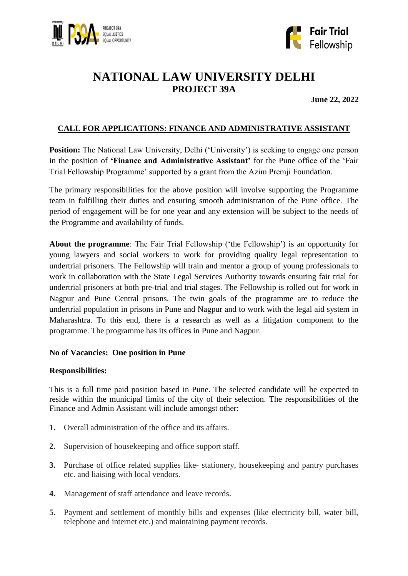



# **NATIONAL LAW UNIVERSITY DELHI PROJECT 39A**

**June 22, 2022**

## **CALL FOR APPLICATIONS: FINANCE AND ADMINISTRATIVE ASSISTANT**

**Position:** The National Law University, Delhi ('University') is seeking to engage one person in the position of **'Finance and Administrative Assistant'** for the Pune office of the 'Fair Trial Fellowship Programme' supported by a grant from the Azim Premji Foundation.

The primary responsibilities for the above position will involve supporting the Programme team in fulfilling their duties and ensuring smooth administration of the Pune office. The period of engagement will be for one year and any extension will be subject to the needs of the Programme and availability of funds.

**About the programme**: The Fair Trial Fellowship ('the Fellowship') is an opportunity for young lawyers and social workers to work for providing quality legal representation to undertrial prisoners. The Fellowship will train and mentor a group of young professionals to work in collaboration with the State Legal Services Authority towards ensuring fair trial for undertrial prisoners at both pre-trial and trial stages. The Fellowship is rolled out for work in Nagpur and Pune Central prisons. The twin goals of the programme are to reduce the undertrial population in prisons in Pune and Nagpur and to work with the legal aid system in Maharashtra. To this end, there is a research as well as a litigation component to the programme. The programme has its offices in Pune and Nagpur.

### **No of Vacancies: One position in Pune**

### **Responsibilities:**

This is a full time paid position based in Pune. The selected candidate will be expected to reside within the municipal limits of the city of their selection. The responsibilities of the Finance and Admin Assistant will include amongst other:

- **1.** Overall administration of the office and its affairs.
- **2.** Supervision of housekeeping and office support staff.
- **3.** Purchase of office related supplies like- stationery, housekeeping and pantry purchases etc. and liaising with local vendors.
- **4.** Management of staff attendance and leave records.
- **5.** Payment and settlement of monthly bills and expenses (like electricity bill, water bill, telephone and internet etc.) and maintaining payment records.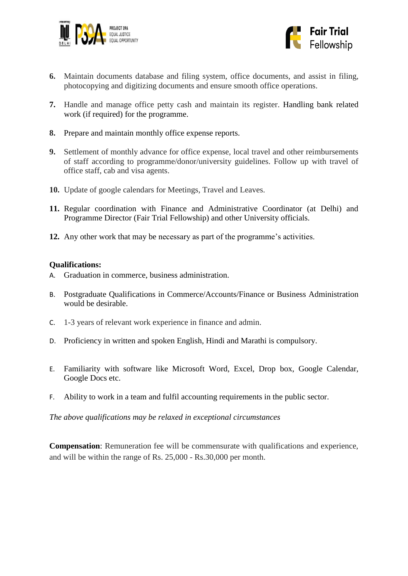



- **6.** Maintain documents database and filing system, office documents, and assist in filing, photocopying and digitizing documents and ensure smooth office operations.
- **7.** Handle and manage office petty cash and maintain its register. Handling bank related work (if required) for the programme.
- **8.** Prepare and maintain monthly office expense reports.
- **9.** Settlement of monthly advance for office expense, local travel and other reimbursements of staff according to programme/donor/university guidelines. Follow up with travel of office staff, cab and visa agents.
- **10.** Update of google calendars for Meetings, Travel and Leaves.
- **11.** Regular coordination with Finance and Administrative Coordinator (at Delhi) and Programme Director (Fair Trial Fellowship) and other University officials.
- **12.** Any other work that may be necessary as part of the programme's activities.

#### **Qualifications:**

- A. Graduation in commerce, business administration.
- B. Postgraduate Qualifications in Commerce/Accounts/Finance or Business Administration would be desirable.
- C. 1-3 years of relevant work experience in finance and admin.
- D. Proficiency in written and spoken English, Hindi and Marathi is compulsory.
- E. Familiarity with software like Microsoft Word, Excel, Drop box, Google Calendar, Google Docs etc.
- F. Ability to work in a team and fulfil accounting requirements in the public sector.

*The above qualifications may be relaxed in exceptional circumstances* 

**Compensation**: Remuneration fee will be commensurate with qualifications and experience, and will be within the range of Rs. 25,000 - Rs.30,000 per month.